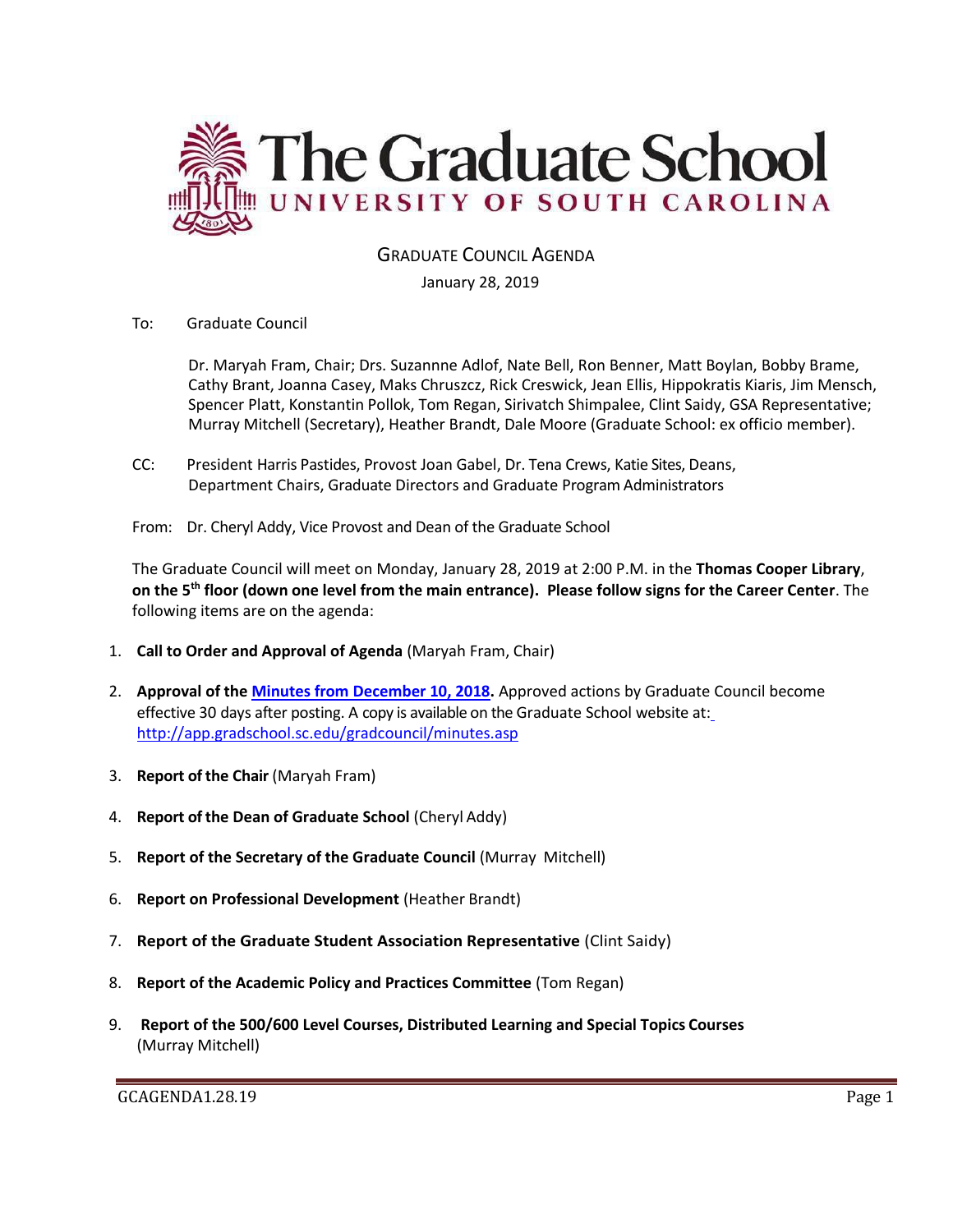

## GRADUATE COUNCIL AGENDA

#### January 28, 2019

To: Graduate Council

Dr. Maryah Fram, Chair; Drs. Suzannne Adlof, Nate Bell, Ron Benner, Matt Boylan, Bobby Brame, Cathy Brant, Joanna Casey, Maks Chruszcz, Rick Creswick, Jean Ellis, Hippokratis Kiaris, Jim Mensch, Spencer Platt, Konstantin Pollok, Tom Regan, Sirivatch Shimpalee, Clint Saidy, GSA Representative; Murray Mitchell (Secretary), Heather Brandt, Dale Moore (Graduate School: ex officio member).

- CC: President Harris Pastides, Provost Joan Gabel, Dr. Tena Crews, Katie Sites, Deans, Department Chairs, Graduate Directors and Graduate Program Administrators
- From: Dr. Cheryl Addy, Vice Provost and Dean of the Graduate School

The Graduate Council will meet on Monday, January 28, 2019 at 2:00 P.M. in the **Thomas Cooper Library**, **on the 5th floor (down one level from the main entrance). Please follow signs for the Career Center**. The following items are on the agenda:

- 1. **Call to Order and Approval of Agenda** (Maryah Fram, Chair)
- 2. **Approval of the [Minutes from December 10, 2018.](GCMINSDEC102018MM.pdf)** Approved actions by Graduate Council become effective 30 days after posting. A copy is available on the Graduate School website at[:](http://app.gradschool.sc.edu/gradcouncil/minutes.asp) <http://app.gradschool.sc.edu/gradcouncil/minutes.asp>
- 3. **Report of the Chair** (Maryah Fram)
- 4. **Report of the Dean of Graduate School** (Cheryl Addy)
- 5. **Report of the Secretary of the Graduate Council** (Murray Mitchell)
- 6. **Report on Professional Development** (Heather Brandt)
- 7. **Report of the Graduate Student Association Representative** (Clint Saidy)
- 8. **Report of the Academic Policy and Practices Committee** (Tom Regan)
- 9. **Report of the 500/600 Level Courses, Distributed Learning and Special Topics Courses** (Murray Mitchell)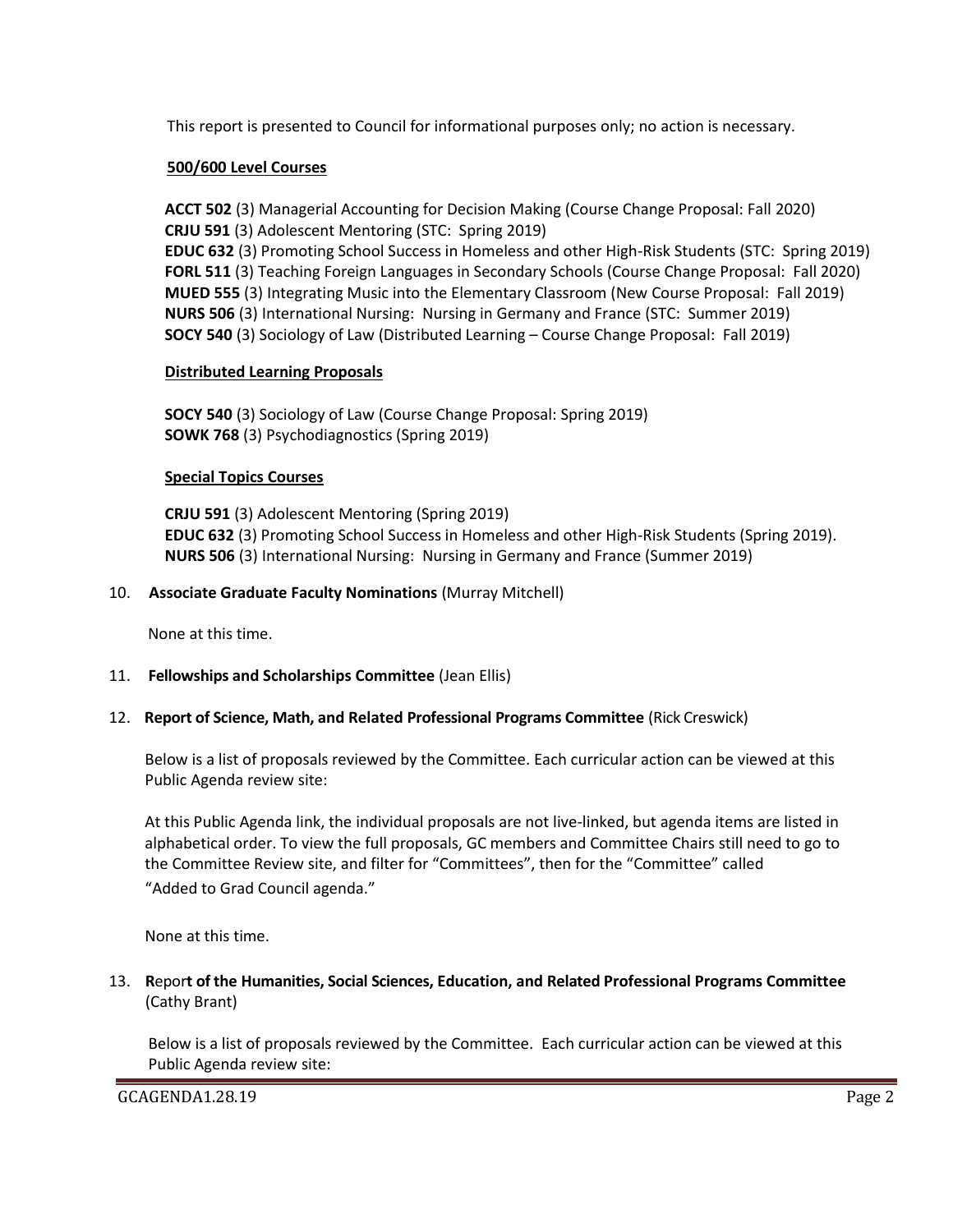This report is presented to Council for informational purposes only; no action is necessary.

### **500/600 Level Courses**

**ACCT 502** (3) Managerial Accounting for Decision Making (Course Change Proposal: Fall 2020) **CRJU 591** (3) Adolescent Mentoring (STC: Spring 2019) **EDUC 632** (3) Promoting School Success in Homeless and other High-Risk Students (STC: Spring 2019) **FORL 511** (3) Teaching Foreign Languages in Secondary Schools (Course Change Proposal: Fall 2020) **MUED 555** (3) Integrating Music into the Elementary Classroom (New Course Proposal: Fall 2019) **NURS 506** (3) International Nursing: Nursing in Germany and France (STC: Summer 2019) **SOCY 540** (3) Sociology of Law (Distributed Learning – Course Change Proposal: Fall 2019)

### **Distributed Learning Proposals**

**SOCY 540** (3) Sociology of Law (Course Change Proposal: Spring 2019) **SOWK 768** (3) Psychodiagnostics (Spring 2019)

### **Special Topics Courses**

**CRJU 591** (3) Adolescent Mentoring (Spring 2019) **EDUC 632** (3) Promoting School Success in Homeless and other High-Risk Students (Spring 2019). **NURS 506** (3) International Nursing: Nursing in Germany and France (Summer 2019)

### 10. **Associate Graduate Faculty Nominations** (Murray Mitchell)

None at this time.

### 11. **Fellowships and Scholarships Committee** (Jean Ellis)

#### 12. **Report of Science, Math, and Related Professional Programs Committee** (Rick Creswick)

Below is a list of proposals reviewed by the Committee. Each curricular action can be viewed at this Public Agenda review site:

At this Public Agenda link, the individual proposals are not live-linked, but agenda items are listed in alphabetical order. To view the full proposals, GC members and Committee Chairs still need to go to the Committee Review site, and filter for "Committees", then for the "Committee" called "Added to Grad Council agenda."

None at this time.

13. **R**epor**t of the Humanities, Social Sciences, Education, and Related Professional Programs Committee**  (Cathy Brant)

Below is a list of proposals reviewed by the Committee. Each curricular action can be viewed at this Public Agenda review site: